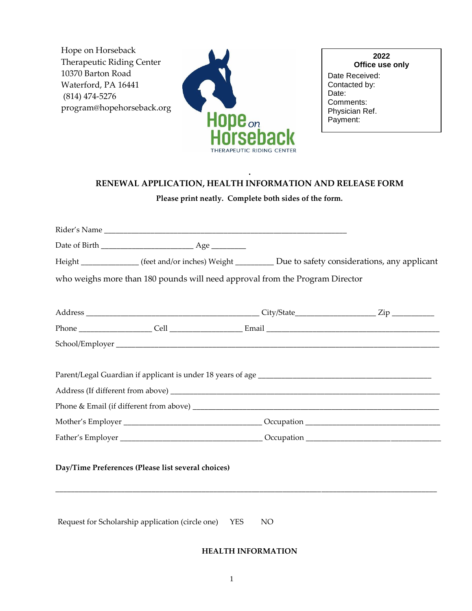Hope on Horseback Therapeutic Riding Center 10370 Barton Road Waterford, PA 16441 (814) 474-5276 program@hopehorseback.org



| 2022<br>Office use only         |
|---------------------------------|
| Date Received:<br>Contacted by: |
| Date:                           |
| Comments:<br>Physician Ref.     |
| Payment:                        |

## **. RENEWAL APPLICATION, HEALTH INFORMATION AND RELEASE FORM**

**Please print neatly. Complete both sides of the form.**

| Rider's Name and the state of the state of the state of the state of the state of the state of the state of the state of the state of the state of the state of the state of the state of the state of the state of the state |  |
|-------------------------------------------------------------------------------------------------------------------------------------------------------------------------------------------------------------------------------|--|
|                                                                                                                                                                                                                               |  |
| Height _____________(feet and/or inches) Weight __________ Due to safety considerations, any applicant                                                                                                                        |  |
| who weighs more than 180 pounds will need approval from the Program Director                                                                                                                                                  |  |
|                                                                                                                                                                                                                               |  |
|                                                                                                                                                                                                                               |  |
|                                                                                                                                                                                                                               |  |
|                                                                                                                                                                                                                               |  |
|                                                                                                                                                                                                                               |  |
|                                                                                                                                                                                                                               |  |
| Day/Time Preferences (Please list several choices)                                                                                                                                                                            |  |

Request for Scholarship application (circle one) YES NO

## **HEALTH INFORMATION**